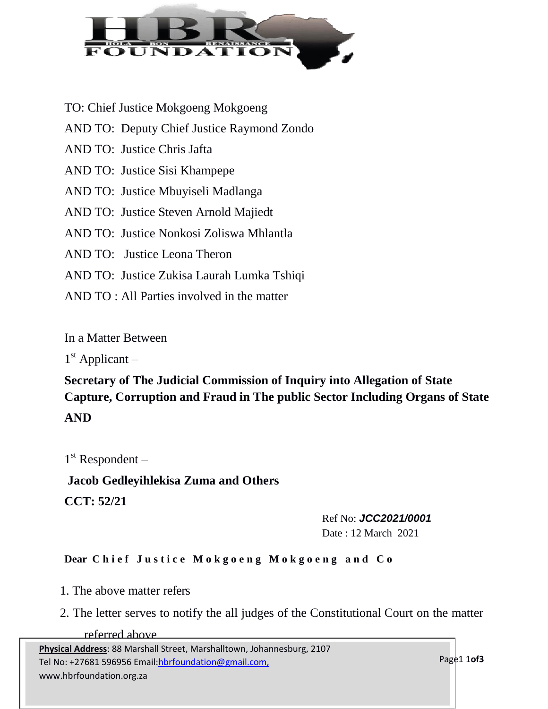

- TO: Chief Justice Mokgoeng Mokgoeng
- AND TO: Deputy Chief Justice Raymond Zondo
- AND TO: Justice Chris Jafta
- AND TO: Justice Sisi Khampepe
- AND TO: Justice Mbuyiseli Madlanga
- AND TO: Justice Steven Arnold Majiedt
- AND TO: Justice Nonkosi Zoliswa Mhlantla
- AND TO: Justice Leona Theron
- AND TO: Justice Zukisa Laurah Lumka Tshiqi
- AND TO : All Parties involved in the matter

In a Matter Between

1<sup>st</sup> Applicant –

## **Secretary of The Judicial Commission of Inquiry into Allegation of State Capture, Corruption and Fraud in The public Sector Including Organs of State AND**

1<sup>st</sup> Respondent -

**Jacob Gedleyihlekisa Zuma and Others CCT: 52/21**

> Ref No: *JCC2021/0001* Date : 12 March 2021

## **Dear Chief Justice Mokgoeng Mokgoeng and Co**

- 1. The above matter refers
- 2. The letter serves to notify the all judges of the Constitutional Court on the matter

## referred above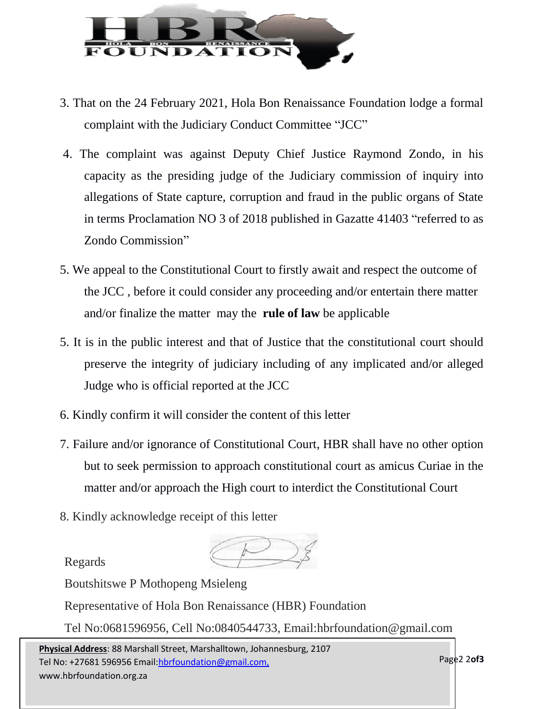

- 3. That on the 24 February 2021, Hola Bon Renaissance Foundation lodge a formal complaint with the Judiciary Conduct Committee "JCC"
- 4. The complaint was against Deputy Chief Justice Raymond Zondo, in his capacity as the presiding judge of the Judiciary commission of inquiry into allegations of State capture, corruption and fraud in the public organs of State in terms Proclamation NO 3 of 2018 published in Gazatte 41403 "referred to as Zondo Commission"
- 5. We appeal to the Constitutional Court to firstly await and respect the outcome of the JCC , before it could consider any proceeding and/or entertain there matter and/or finalize the matter may the **rule of law** be applicable
- 5. It is in the public interest and that of Justice that the constitutional court should preserve the integrity of judiciary including of any implicated and/or alleged Judge who is official reported at the JCC
- 6. Kindly confirm it will consider the content of this letter
- 7. Failure and/or ignorance of Constitutional Court, HBR shall have no other option but to seek permission to approach constitutional court as amicus Curiae in the matter and/or approach the High court to interdict the Constitutional Court
- 8. Kindly acknowledge receipt of this letter

Regards

Boutshitswe P Mothopeng Msieleng

Representative of Hola Bon Renaissance (HBR) Foundation

Tel No:0681596956, Cell No:0840544733, [Email:hbrfoundation@gmail.com](mailto:hbrfoundation@gmail.com)